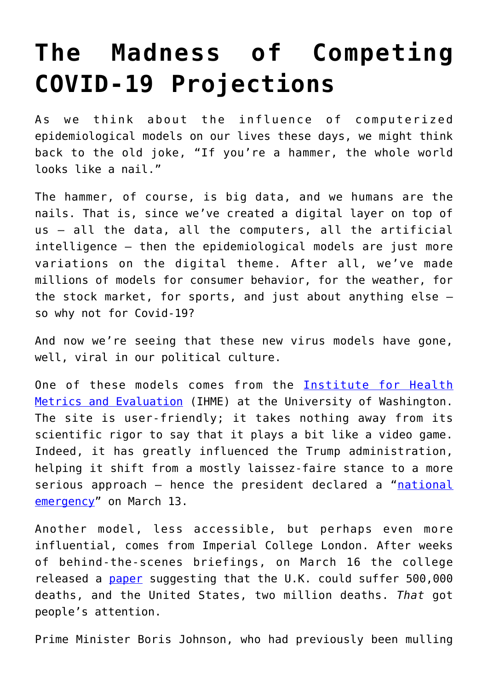## **[The Madness of Competing](https://intellectualtakeout.org/2020/04/the-madness-of-competing-covid-19-projections/) [COVID-19 Projections](https://intellectualtakeout.org/2020/04/the-madness-of-competing-covid-19-projections/)**

As we think about the influence of computerized epidemiological models on our lives these days, we might think back to the old joke, "If you're a hammer, the whole world looks like a nail."

The hammer, of course, is big data, and we humans are the nails. That is, since we've created a digital layer on top of us – all the data, all the computers, all the artificial intelligence – then the epidemiological models are just more variations on the digital theme. After all, we've made millions of models for consumer behavior, for the weather, for the stock market, for sports, and just about anything else – so why not for Covid-19?

And now we're seeing that these new virus models have gone, well, viral in our political culture.

One of these models comes from the [Institute for Health](https://covid19.healthdata.org/united-states-of-america) [Metrics and Evaluation](https://covid19.healthdata.org/united-states-of-america) (IHME) at the University of Washington. The site is user-friendly; it takes nothing away from its scientific rigor to say that it plays a bit like a video game. Indeed, it has greatly influenced the Trump administration, helping it shift from a mostly laissez-faire stance to a more serious approach - hence the president declared a "[national](https://www.whitehouse.gov/presidential-actions/proclamation-declaring-national-emergency-concerning-novel-coronavirus-disease-covid-19-outbreak/) [emergency"](https://www.whitehouse.gov/presidential-actions/proclamation-declaring-national-emergency-concerning-novel-coronavirus-disease-covid-19-outbreak/) on March 13.

Another model, less accessible, but perhaps even more influential, comes from Imperial College London. After weeks of behind-the-scenes briefings, on March 16 the college released a [paper](https://www.imperial.ac.uk/media/imperial-college/medicine/sph/ide/gida-fellowships/Imperial-College-COVID19-NPI-modelling-16-03-2020.pdf) suggesting that the U.K. could suffer 500,000 deaths, and the United States, two million deaths. *That* got people's attention.

Prime Minister Boris Johnson, who had previously been mulling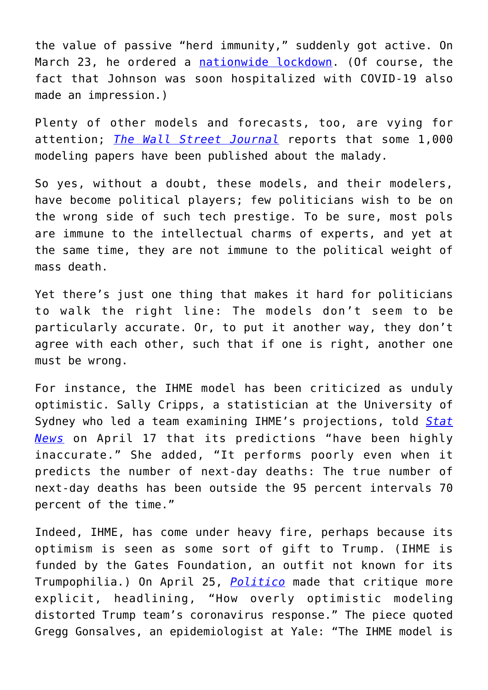the value of passive "herd immunity," suddenly got active. On March 23, he ordered a [nationwide lockdown.](https://www.theguardian.com/uk-news/2020/mar/23/boris-johnsons-address-to-the-nation-in-full) (Of course, the fact that Johnson was soon hospitalized with COVID-19 also made an impression.)

Plenty of other models and forecasts, too, are vying for attention; *[The Wall Street Journal](https://www.wsj.com/articles/as-politicians-lean-on-disease-modelers-in-health-crisis-some-scientists-fear-a-backlash-11587299103?mod=hp_lead_pos6)* reports that some 1,000 modeling papers have been published about the malady.

So yes, without a doubt, these models, and their modelers, have become political players; few politicians wish to be on the wrong side of such tech prestige. To be sure, most pols are immune to the intellectual charms of experts, and yet at the same time, they are not immune to the political weight of mass death.

Yet there's just one thing that makes it hard for politicians to walk the right line: The models don't seem to be particularly accurate. Or, to put it another way, they don't agree with each other, such that if one is right, another one must be wrong.

For instance, the IHME model has been criticized as unduly optimistic. Sally Cripps, a statistician at the University of Sydney who led a team examining IHME's projections, told *[Stat](https://www.statnews.com/2020/04/17/influential-covid-19-model-uses-flawed-methods-shouldnt-guide-policies-critics-say/) [News](https://www.statnews.com/2020/04/17/influential-covid-19-model-uses-flawed-methods-shouldnt-guide-policies-critics-say/)* on April 17 that its predictions "have been highly inaccurate." She added, "It performs poorly even when it predicts the number of next-day deaths: The true number of next-day deaths has been outside the 95 percent intervals 70 percent of the time."

Indeed, IHME, has come under heavy fire, perhaps because its optimism is seen as some sort of gift to Trump. (IHME is funded by the Gates Foundation, an outfit not known for its Trumpophilia.) On April 25, *[Politico](https://www.politico.com/news/2020/04/24/trump-coronavirus-model-207582)* made that critique more explicit, headlining, "How overly optimistic modeling distorted Trump team's coronavirus response." The piece quoted Gregg Gonsalves, an epidemiologist at Yale: "The IHME model is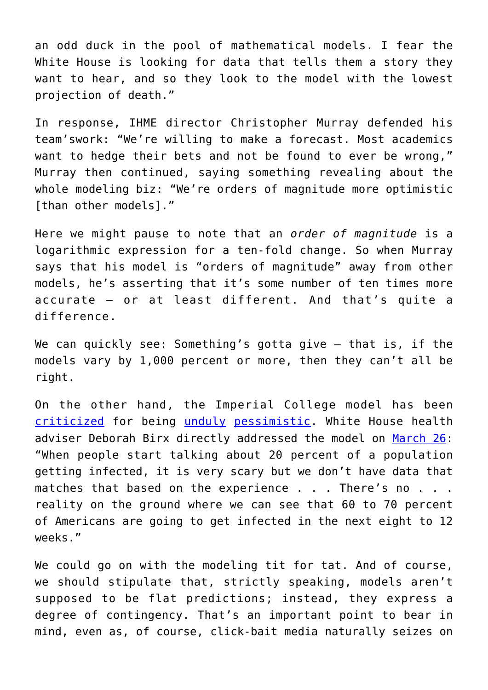an odd duck in the pool of mathematical models. I fear the White House is looking for data that tells them a story they want to hear, and so they look to the model with the lowest projection of death."

In response, IHME director Christopher Murray defended his team'swork: "We're willing to make a forecast. Most academics want to hedge their bets and not be found to ever be wrong," Murray then continued, saying something revealing about the whole modeling biz: "We're orders of magnitude more optimistic [than other models]."

Here we might pause to note that an *order of magnitude* is a logarithmic expression for a ten-fold change. So when Murray says that his model is "orders of magnitude" away from other models, he's asserting that it's some number of ten times more accurate – or at least different. And that's quite a difference.

We can quickly see: Something's gotta give – that is, if the models vary by 1,000 percent or more, then they can't all be right.

On the other hand, the Imperial College model has been [criticized](https://thehill.com/opinion/healthcare/489962-what-if-the-sky-is-falling-coronavirus-models-are-simply-wrong) for being [unduly](https://nymag.com/intelligencer/2020/03/how-long-will-the-coronavirus-shutdown-last.html) [pessimistic](https://www.nationalreview.com/2020/04/coronavirus-pandemic-modelers-pessimists-need-dose-of-humility/#slide-1). White House health adviser Deborah Birx directly addressed the model on [March 26:](https://thehill.com/policy/healthcare/489774-birx-cautions-against-inaccurate-models-predicting-signficant-coronavirus) "When people start talking about 20 percent of a population getting infected, it is very scary but we don't have data that matches that based on the experience . . . There's no . . . reality on the ground where we can see that 60 to 70 percent of Americans are going to get infected in the next eight to 12 weeks."

We could go on with the modeling tit for tat. And of course, we should stipulate that, strictly speaking, models aren't supposed to be flat predictions; instead, they express a degree of contingency. That's an important point to bear in mind, even as, of course, click-bait media naturally seizes on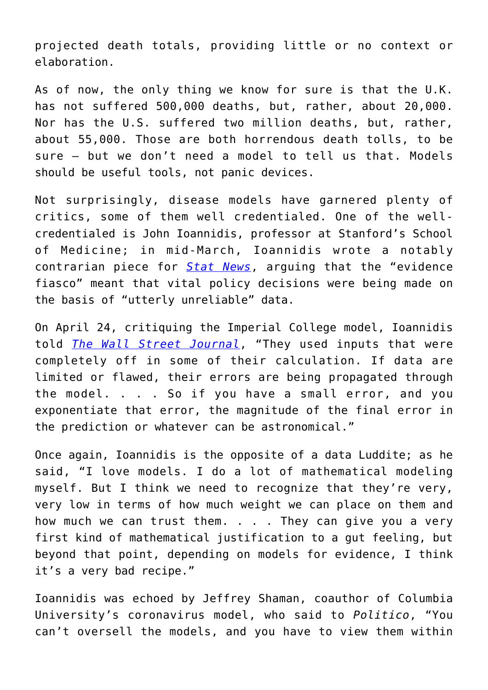projected death totals, providing little or no context or elaboration.

As of now, the only thing we know for sure is that the U.K. has not suffered 500,000 deaths, but, rather, about 20,000. Nor has the U.S. suffered two million deaths, but, rather, about 55,000. Those are both horrendous death tolls, to be sure – but we don't need a model to tell us that. Models should be useful tools, not panic devices.

Not surprisingly, disease models have garnered plenty of critics, some of them well credentialed. One of the wellcredentialed is John Ioannidis, professor at Stanford's School of Medicine; in mid-March, Ioannidis wrote a notably contrarian piece for *[Stat News](https://www.statnews.com/2020/03/17/a-fiasco-in-the-making-as-the-coronavirus-pandemic-takes-hold-we-are-making-decisions-without-reliable-data/)*, arguing that the "evidence fiasco" meant that vital policy decisions were being made on the basis of "utterly unreliable" data.

On April 24, critiquing the Imperial College model, Ioannidis told *[The Wall Street Journal](https://www.wsj.com/articles/the-bearer-of-good-coronavirus-news-11587746176?cx_testId=3&cx_testVariant=cx_4&cx_artPos=6#cxrecs_s)*, "They used inputs that were completely off in some of their calculation. If data are limited or flawed, their errors are being propagated through the model. . . . So if you have a small error, and you exponentiate that error, the magnitude of the final error in the prediction or whatever can be astronomical."

Once again, Ioannidis is the opposite of a data Luddite; as he said, "I love models. I do a lot of mathematical modeling myself. But I think we need to recognize that they're very, very low in terms of how much weight we can place on them and how much we can trust them. . . . They can give you a very first kind of mathematical justification to a gut feeling, but beyond that point, depending on models for evidence, I think it's a very bad recipe."

Ioannidis was echoed by Jeffrey Shaman, coauthor of Columbia University's coronavirus model, who said to *Politico*, "You can't oversell the models, and you have to view them within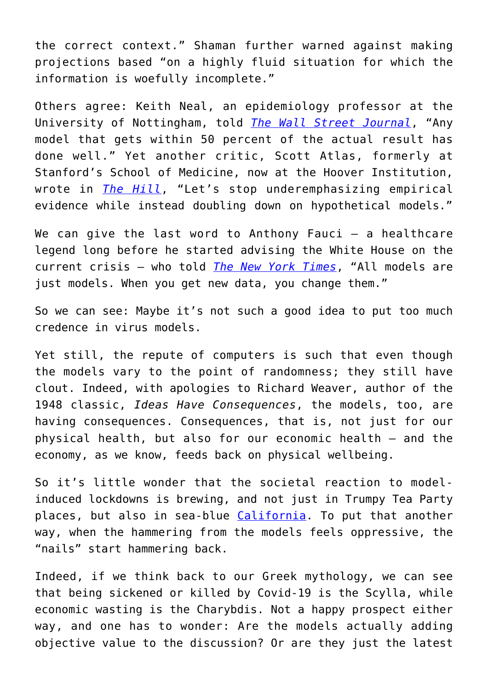the correct context." Shaman further warned against making projections based "on a highly fluid situation for which the information is woefully incomplete."

Others agree: Keith Neal, an epidemiology professor at the University of Nottingham, told *[The Wall Street Journal](https://www.wsj.com/articles/as-politicians-lean-on-disease-modelers-in-health-crisis-some-scientists-fear-a-backlash-11587299103?mod=hp_lead_pos6)*, "Any model that gets within 50 percent of the actual result has done well." Yet another critic, Scott Atlas, formerly at Stanford's School of Medicine, now at the Hoover Institution, wrote in *[The Hill](https://thehill.com/opinion/healthcare/494034-the-data-are-in-stop-the-panic-and-end-the-total-isolation#.XqDhrlzPd4Q.twitter)*, "Let's stop underemphasizing empirical evidence while instead doubling down on hypothetical models."

We can give the last word to Anthony Fauci  $-$  a healthcare legend long before he started advising the White House on the current crisis – who told *[The New York Times](https://www.nytimes.com/2020/04/18/health/coronavirus-america-future.html?smid=tw-nytimes&smtyp=cur)*, "All models are just models. When you get new data, you change them."

So we can see: Maybe it's not such a good idea to put too much credence in virus models.

Yet still, the repute of computers is such that even though the models vary to the point of randomness; they still have clout. Indeed, with apologies to Richard Weaver, author of the 1948 classic, *Ideas Have Consequences*, the models, too, are having consequences. Consequences, that is, not just for our physical health, but also for our economic health – and the economy, as we know, feeds back on physical wellbeing.

So it's little wonder that the societal reaction to modelinduced lockdowns is brewing, and not just in Trumpy Tea Party places, but also in sea-blue [California.](https://abc7news.com/society/heat-wave-draws-thousands-to-socal-beaches-amid-covid-19-crisis/6129739/) To put that another way, when the hammering from the models feels oppressive, the "nails" start hammering back.

Indeed, if we think back to our Greek mythology, we can see that being sickened or killed by Covid-19 is the Scylla, while economic wasting is the Charybdis. Not a happy prospect either way, and one has to wonder: Are the models actually adding objective value to the discussion? Or are they just the latest